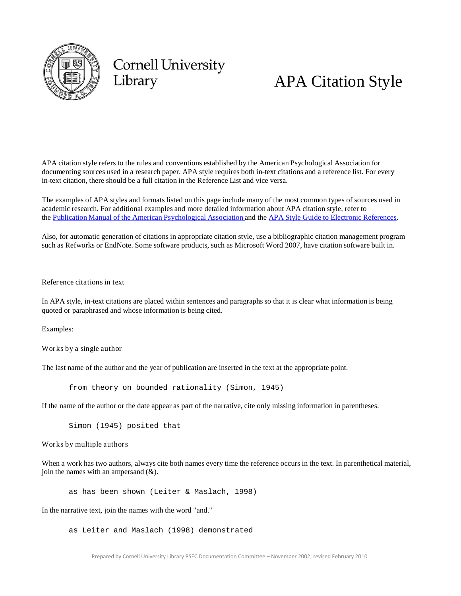

# **Cornell University** Library

# APA Citation Style

APA citation style refers to the rules and conventions established by the American Psychological Association for documenting sources used in a research paper. APA style requires both in-text citations and a reference list. For every in-text citation, there should be a full citation in the Reference List and vice versa.

The examples of APA styles and formats listed on this page include many of the most common types of sources used in academic research. For additional examples and more detailed information about APA citation style, refer to the Publication Manual of the American [Psychological](http://catalog.library.cornell.edu/cgi-bin/Pwebrecon.cgi?BBID=4034244&DB=local) Association and the APA Style Guide [to Electronic](http://catalog.library.cornell.edu/cgi-bin/Pwebrecon.cgi?BBID=6180141&DB=local) References.

Also, for automatic generation of citations in appropriate citation style, use a bibliographic citation management program such as Refworks or EndNote. Some software products, such as Microsoft Word 2007, have citation software built in.

Refer ence citations in text

In APA style, in-text citations are placed within sentences and paragraphs so that it is clear what information is being quoted or paraphrased and whose information is being cited.

Examples:

Works by a single author

The last name of the author and the year of publication are inserted in the text at the appropriate point.

from theory on bounded rationality (Simon, 1945)

If the name of the author or the date appear as part of the narrative, cite only missing information in parentheses.

Simon (1945) posited that

Works by multiple authors

When a work has two authors, always cite both names every time the reference occurs in the text. In parenthetical material, join the names with an ampersand  $(\&)$ .

as has been shown (Leiter & Maslach, 1998)

In the narrative text, join the names with the word "and."

as Leiter and Maslach (1998) demonstrated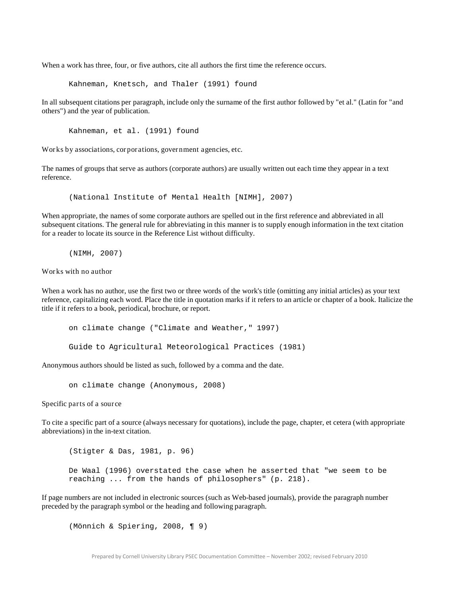When a work has three, four, or five authors, cite all authors the first time the reference occurs.

Kahneman, Knetsch, and Thaler (1991) found

In all subsequent citations per paragraph, include only the surname of the first author followed by "et al." (Latin for "and others") and the year of publication.

Kahneman, et al. (1991) found

Works by associations, cor por ations, gover nment agencies, etc.

The names of groups that serve as authors (corporate authors) are usually written out each time they appear in a text reference.

(National Institute of Mental Health [NIMH], 2007)

When appropriate, the names of some corporate authors are spelled out in the first reference and abbreviated in all subsequent citations. The general rule for abbreviating in this manner is to supply enough information in the text citation for a reader to locate its source in the Reference List without difficulty.

(NIMH, 2007)

Works with no author

When a work has no author, use the first two or three words of the work's title (omitting any initial articles) as your text reference, capitalizing each word. Place the title in quotation marks if it refers to an article or chapter of a book. Italicize the title if it refers to a book, periodical, brochure, or report.

```
on climate change ("Climate and Weather," 1997)
Guide to Agricultural Meteorological Practices (1981)
```
Anonymous authors should be listed as such, followed by a comma and the date.

on climate change (Anonymous, 2008)

Specific parts of a sour ce

To cite a specific part of a source (always necessary for quotations), include the page, chapter, et cetera (with appropriate abbreviations) in the in-text citation.

(Stigter & Das, 1981, p. 96) De Waal (1996) overstated the case when he asserted that "we seem to be reaching ... from the hands of philosophers" (p. 218).

If page numbers are not included in electronic sources (such as Web-based journals), provide the paragraph number preceded by the paragraph symbol or the heading and following paragraph.

(Mönnich & Spiering, 2008, ¶ 9)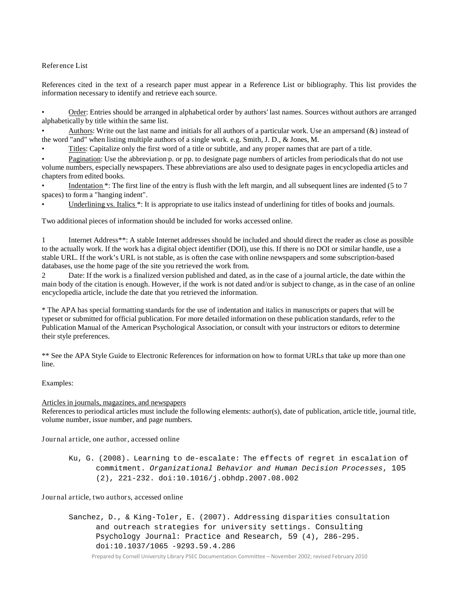Refer ence List

References cited in the text of a research paper must appear in a Reference List or bibliography. This list provides the information necessary to identify and retrieve each source.

• Order: Entries should be arranged in alphabetical order by authors' last names. Sources without authors are arranged alphabetically by title within the same list.

Authors: Write out the last name and initials for all authors of a particular work. Use an ampersand  $(\&)$  instead of the word "and" when listing multiple authors of a single work. e.g. Smith, J. D., & Jones, M.

• Titles: Capitalize only the first word of a title or subtitle, and any proper names that are part of a title.

• Pagination: Use the abbreviation p. or pp. to designate page numbers of articles from periodicals that do not use volume numbers, especially newspapers. These abbreviations are also used to designate pages in encyclopedia articles and chapters from edited books.

Indentation  $*$ : The first line of the entry is flush with the left margin, and all subsequent lines are indented (5 to 7 spaces) to form a "hanging indent".

Underlining vs. Italics \*: It is appropriate to use italics instead of underlining for titles of books and journals.

Two additional pieces of information should be included for works accessed online.

1 Internet Address\*\*: A stable Internet addresses should be included and should direct the reader as close as possible to the actually work. If the work has a digital object identifier (DOI), use this. If there is no DOI or similar handle, use a stable URL. If the work's URL is not stable, as is often the case with online newspapers and some subscription-based databases, use the home page of the site you retrieved the work from.

2 Date: If the work is a finalized version published and dated, as in the case of a journal article, the date within the main body of the citation is enough. However, if the work is not dated and/or is subject to change, as in the case of an online encyclopedia article, include the date that you retrieved the information.

\* The APA has special formatting standards for the use of indentation and italics in manuscripts or papers that will be typeset or submitted for official publication. For more detailed information on these publication standards, refer to the Publication Manual of the American Psychological Association, or consult with your instructors or editors to determine their style preferences.

\*\* See the APA Style Guide to Electronic References for information on how to format URLs that take up more than one line.

Examples:

# Articles in journals, magazines, and newspapers

References to periodical articles must include the following elements: author(s), date of publication, article title, journal title, volume number, issue number, and page numbers.

J ournal article, one author, accessed online

Ku, G. (2008). Learning to de-escalate: The effects of regret in escalation of commitment. *Organizational Behavior and Human Decision Processes*, 105 (2), 221-232. doi:10.1016/j.obhdp.2007.08.002

J ournal article, two authors, accessed online

Sanchez, D., & King-Toler, E. (2007). Addressing disparities consultation and outreach strategies for university settings. Consulting Psychology Journal: Practice and Research, 59 (4), 286-295. doi:10.1037/1065 -9293.59.4.286

Prepared by Cornell University Library PSEC Documentation Committee – November 2002; revised February 2010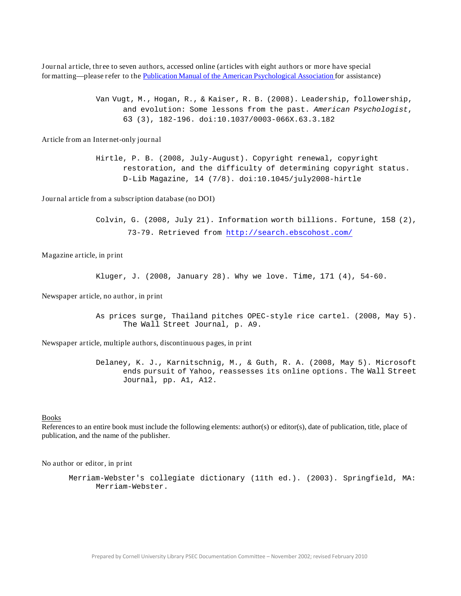J ournal article, thr ee to seven authors, accessed online (articles with eight authors or mor e have special formatting—please r efer to the Publication Manual of the American [Psychological](http://catalog.library.cornell.edu/cgi-bin/Pwebrecon.cgi?BBID=6180141&DB=local) Association for assistance)

> Van Vugt, M., Hogan, R., & Kaiser, R. B. (2008). Leadership, followership, and evolution: Some lessons from the past. *American Psychologist*, 63 (3), 182-196. doi:10.1037/0003-066X.63.3.182

Article from an Internet-only journal

Hirtle, P. B. (2008, July-August). Copyright renewal, copyright restoration, and the difficulty of determining copyright status. D-Lib Magazine, 14 (7/8). doi:10.1045/july2008-hirtle

J ournal article from a subscription database (no DOI)

Colvin, G. (2008, July 21). Information worth billions. Fortune, 158 (2), 73-79. Retrieved from <http://search.ebscohost.com/>

Magazine article, in print

Kluger, J. (2008, January 28). Why we love. Time, 171 (4), 54-60.

Newspaper article, no author, in print

As prices surge, Thailand pitches OPEC-style rice cartel. (2008, May 5). The Wall Street Journal, p. A9.

Newspaper article, multiple authors, discontinuous pages, in print

Delaney, K. J., Karnitschnig, M., & Guth, R. A. (2008, May 5). Microsoft ends pursuit of Yahoo, reassesses its online options. The Wall Street Journal, pp. A1, A12.

# Books

References to an entire book must include the following elements: author(s) or editor(s), date of publication, title, place of publication, and the name of the publisher.

No author or editor, in print

Merriam-Webster's collegiate dictionary (11th ed.). (2003). Springfield, MA: Merriam-Webster.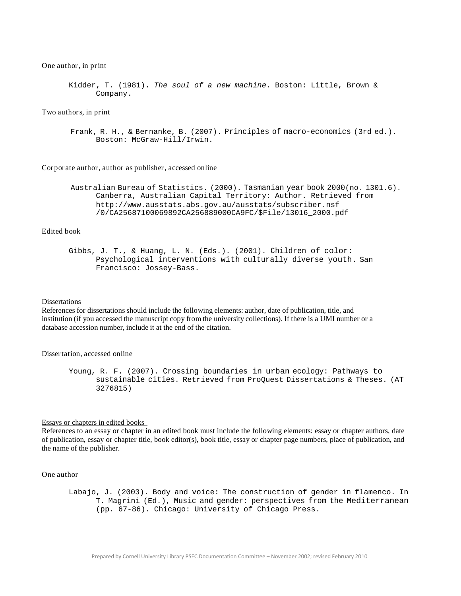#### One author, in print

```
Kidder, T. (1981). The soul of a new machine. Boston: Little, Brown & 
      Company.
```
Two authors, in print

```
Frank, R. H., & Bernanke, B. (2007). Principles of macro-economics (3rd ed.).
     Boston: McGraw-Hill/Irwin.
```
Cor por ate author, author as publisher, accessed online

```
Australian Bureau of Statistics. (2000). Tasmanian year book 2000(no. 1301.6).
     Canberra, Australian Capital Territory: Author. Retrieved from
     http://www.ausstats.abs.gov.au/ausstats/subscriber.nsf
     /0/CA25687100069892CA256889000CA9FC/$File/13016_2000.pdf
```
# Edited book

Gibbs, J. T., & Huang, L. N. (Eds.). (2001). Children of color: Psychological interventions with culturally diverse youth. San Francisco: Jossey-Bass.

#### Dissertations

References for dissertations should include the following elements: author, date of publication, title, and institution (if you accessed the manuscript copy from the university collections). If there is a UMI number or a database accession number, include it at the end of the citation.

## Dissertation, accessed online

```
Young, R. F. (2007). Crossing boundaries in urban ecology: Pathways to 
      sustainable cities. Retrieved from ProQuest Dissertations & Theses. (AT
      3276815)
```
# Essays or chapters in edited books

References to an essay or chapter in an edited book must include the following elements: essay or chapter authors, date of publication, essay or chapter title, book editor(s), book title, essay or chapter page numbers, place of publication, and the name of the publisher.

#### One author

Labajo, J. (2003). Body and voice: The construction of gender in flamenco. In T. Magrini (Ed.), Music and gender: perspectives from the Mediterranean (pp. 67-86). Chicago: University of Chicago Press.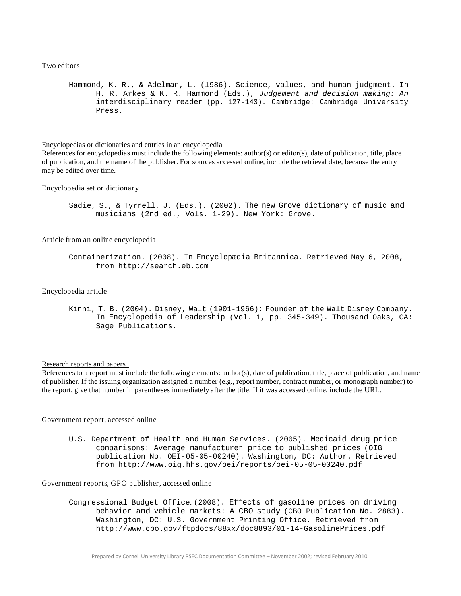Two editors

Hammond, K. R., & Adelman, L. (1986). Science, values, and human judgment. In H. R. Arkes & K. R. Hammond (Eds.), *Judgement and decision making: An*  interdisciplinary reader (pp. 127-143). Cambridge: Cambridge University Press.

Encyclopedias or dictionaries and entries in an encyclopedia

References for encyclopedias must include the following elements: author(s) or editor(s), date of publication, title, place of publication, and the name of the publisher. For sources accessed online, include the retrieval date, because the entry may be edited over time.

Encyclopedia set or dictionar y

Sadie, S., & Tyrrell, J. (Eds.). (2002). The new Grove dictionary of music and musicians (2nd ed., Vols. 1-29). New York: Grove.

Article from an online encyclopedia

```
Containerization. (2008). In Encyclopædia Britannica. Retrieved May 6, 2008, 
      from http://search.eb.com
```
## Encyclopedia article

Kinni, T. B. (2004). Disney, Walt (1901-1966): Founder of the Walt Disney Company. In Encyclopedia of Leadership (Vol. 1, pp. 345-349). Thousand Oaks, CA: Sage Publications.

#### Research reports and papers

References to a report must include the following elements: author(s), date of publication, title, place of publication, and name of publisher. If the issuing organization assigned a number (e.g., report number, contract number, or monograph number) to the report, give that number in parentheses immediately after the title. If it was accessed online, include the URL.

#### Gover nment r eport, accessed online

U.S. Department of Health and Human Services. (2005). Medicaid drug price comparisons: Average manufacturer price to published prices (OIG publication No. OEI-05-05-00240). Washington, DC: Author. Retrieved from <http://www.oig.hhs.gov/oei/reports/oei-05-05-00240.pdf>

Gover nment r eports, GPO publisher, accessed online

Congressional Budget Office. (2008). Effects of gasoline prices on driving behavior and vehicle markets: A CBO study (CBO Publication No. [2883\).](http://www.cbo.gov/ftpdocs/88xx/doc8893/01-14-GasolinePrices.pdf)  Washington, DC: U.S. Government Printing Office. Retrieved from <http://www.cbo.gov/ftpdocs/88xx/doc8893/01-14-GasolinePrices.pdf>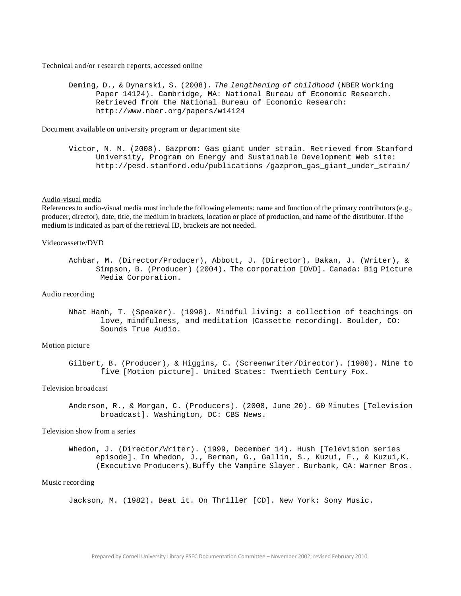Technical and/or r esear ch r eports, accessed online

Deming, D., & Dynarski, S. (2008). *The lengthening of childhood* (NBER Working Paper 14124). Cambridge, MA: National Bureau of Economic [Research.](http://www.nber.org/papers/w14124)  Retrieved from the National Bureau of Economic Research: <http://www.nber.org/papers/w14124>

Document available on university pr ogr am or department site

Victor, N. M. (2008). Gazprom: Gas giant under strain. Retrieved from Sta[nford](http://pesd.stanford.edu/publications)  University, Program on Energy and Sustainable Development Web site: <http://pesd.stanford.edu/publications> /gazprom\_gas\_giant\_under\_strain/

# Audio-visual media

References to audio-visual media must include the following elements: name and function of the primary contributors (e.g., producer, director), date, title, the medium in brackets, location or place of production, and name of the distributor. If the medium is indicated as part of the retrieval ID, brackets are not needed.

# Videocassette/DVD

# Audio r ecording

Nhat Hanh, T. (Speaker). (1998). Mindful living: a collection of teachings on love, mindfulness, and meditation [Cassette recording]. Boulder, CO: Sounds True Audio.

#### Motion picture

Gilbert, B. (Producer), & Higgins, C. (Screenwriter/Director). (1980). Nine to five [Motion picture]. United States: Twentieth Century Fox.

#### Television broadcast

Anderson, R., & Morgan, C. (Producers). (2008, June 20). 60 Minutes [Television broadcast]. Washington, DC: CBS News.

# Television show from a series

Whedon, J. (Director/Writer). (1999, December 14). Hush [Television series episode]. In Whedon, J., Berman, G., Gallin, S., Kuzui, F., & Kuzui,K. (Executive Producers), Buffy the Vampire Slayer. Burbank, CA: Warner Bros.

#### Music recording

Jackson, M. (1982). Beat it. On Thriller [CD]. New York: Sony Music.

Achbar, M. (Director/Producer), Abbott, J. (Director), Bakan, J. (Writer), & Simpson, B. (Producer) (2004). The corporation [DVD]. Canada: Big Picture Media Corporation.